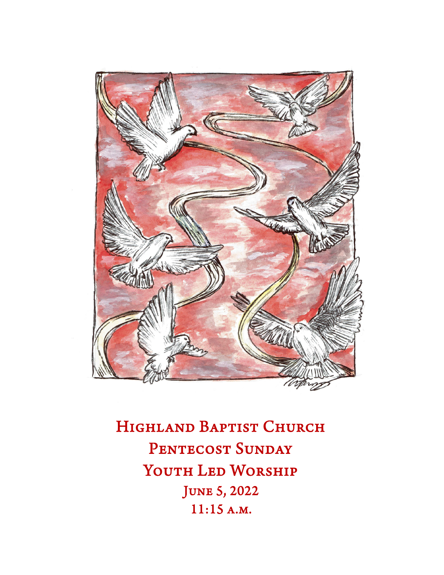

HIGHLAND BAPTIST CHURCH PENTECOST SUNDAY YOUTH LED WORSHIP June 5, 2022 11:15 a.m.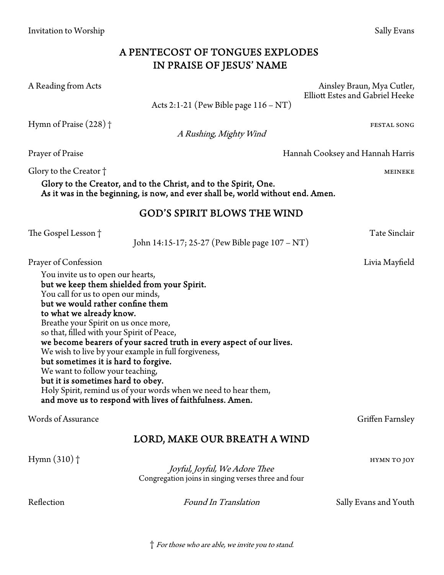## A PENTECOST OF TONGUES EXPLODES IN PRAISE OF JESUS' NAME

A Reading from Acts Ainsley Braun, Mya Cutler,

Acts 2:1-21 (Pew Bible page 116 – NT)

Hymn of Praise (228) † festal song production of the state song production of  $\mathbf{F}$  and  $\mathbf{F}$ 

A Rushing, Mighty Wind

Glory to the Creator † metals and the control of the Creator  $\uparrow$  meineke

Glory to the Creator, and to the Christ, and to the Spirit, One. As it was in the beginning, is now, and ever shall be, world without end. Amen.

### GOD'S SPIRIT BLOWS THE WIND

The Gospel Lesson † Tate Sinclair

John 14:15-17; 25-27 (Pew Bible page 107 – NT)

Prayer of Confession Livia Mayfield

You invite us to open our hearts, but we keep them shielded from your Spirit. You call for us to open our minds, but we would rather confine them to what we already know. Breathe your Spirit on us once more, so that, filled with your Spirit of Peace, we become bearers of your sacred truth in every aspect of our lives. We wish to live by your example in full forgiveness, but sometimes it is hard to forgive. We want to follow your teaching, but it is sometimes hard to obey. Holy Spirit, remind us of your words when we need to hear them, and move us to respond with lives of faithfulness. Amen.

Words of Assurance Griffen Farnsley

# LORD, MAKE OUR BREATH A WIND

 $\text{Hymn (310)}$  †  $\blacksquare$  hymn to joy

Joyful, Joyful, We Adore Thee Congregation joins in singing verses three and four

Reflection **Found In Translation** Sally Evans and Youth

† For those who are able, we invite you to stand.

Prayer of Praise Hannah Cooksey and Hannah Harris

Elliott Estes and Gabriel Heeke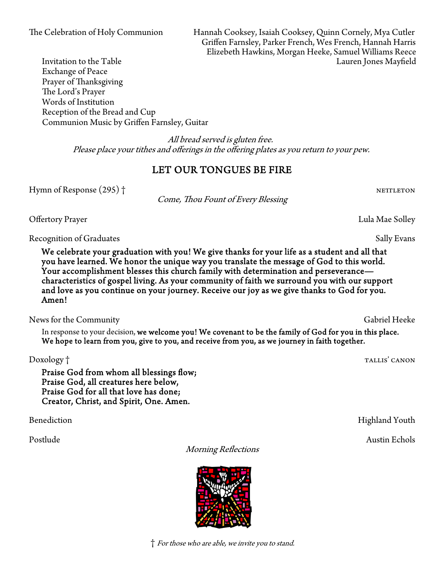The Celebration of Holy Communion Hannah Cooksey, Isaiah Cooksey, Quinn Cornely, Mya Cutler Griffen Farnsley, Parker French, Wes French, Hannah Harris Elizebeth Hawkins, Morgan Heeke, Samuel Williams Reece Invitation to the Table Lauren Jones Mayfield

Exchange of Peace Prayer of Thanksgiving The Lord's Prayer Words of Institution Reception of the Bread and Cup Communion Music by Griffen Farnsley, Guitar

> All bread served is gluten free. Please place your tithes and offerings in the offering plates as you return to your pew.

### LET OUR TONGUES BE FIRE

Hymn of Response (295) † nettleton and the set of the set of the set of the set of the set of the set of the set of the set of the set of the set of the set of the set of the set of the set of the set of the set of the set

Come, Thou Fount of Every Blessing

Offertory Prayer Lula Mae Solley

Recognition of Graduates Sally Evans

We celebrate your graduation with you! We give thanks for your life as a student and all that you have learned. We honor the unique way you translate the message of God to this world. Your accomplishment blesses this church family with determination and perseverance characteristics of gospel living. As your community of faith we surround you with our support and love as you continue on your journey. Receive our joy as we give thanks to God for you. Amen!

News for the Community Gabriel Heeke

In response to your decision, we welcome you! We covenant to be the family of God for you in this place. We hope to learn from you, give to you, and receive from you, as we journey in faith together.

Praise God from whom all blessings flow; Praise God, all creatures here below, Praise God for all that love has done; Creator, Christ, and Spirit, One. Amen.

Morning Reflections



Doxology † tallis' canonism and the contract of the canonism of the canonism of the canonism  $\Gamma$ 

Benediction Highland Youth

Postlude Austin Echols